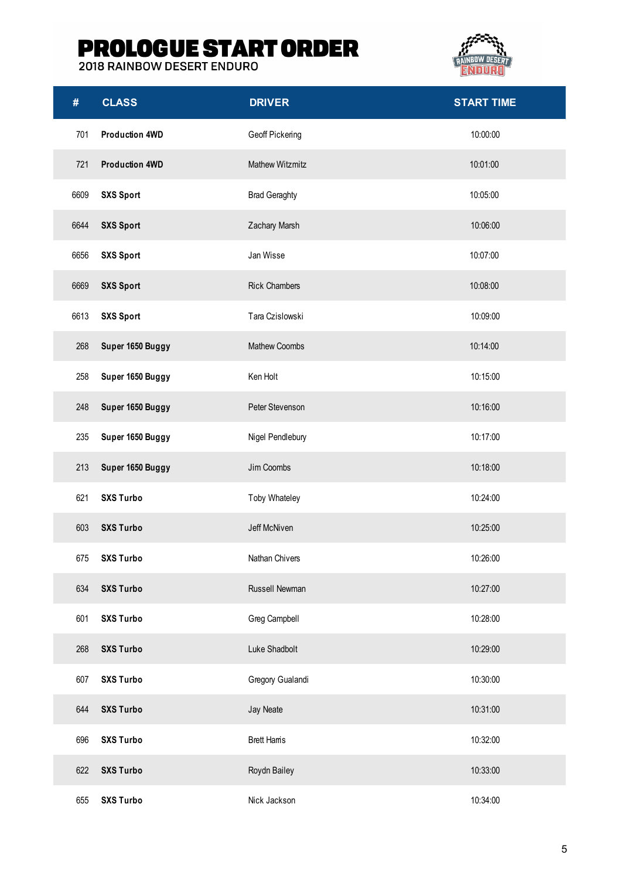## **PROLOGUE START ORDER**<br>2018 RAINBOW DESERT ENDURO



| #    | <b>CLASS</b>          | <b>DRIVER</b>        | <b>START TIME</b> |
|------|-----------------------|----------------------|-------------------|
| 701  | <b>Production 4WD</b> | Geoff Pickering      | 10:00:00          |
| 721  | <b>Production 4WD</b> | Mathew Witzmitz      | 10:01:00          |
| 6609 | <b>SXS Sport</b>      | <b>Brad Geraghty</b> | 10:05:00          |
| 6644 | <b>SXS Sport</b>      | Zachary Marsh        | 10:06:00          |
| 6656 | <b>SXS Sport</b>      | Jan Wisse            | 10:07:00          |
| 6669 | <b>SXS Sport</b>      | <b>Rick Chambers</b> | 10:08:00          |
| 6613 | <b>SXS Sport</b>      | Tara Czislowski      | 10:09:00          |
| 268  | Super 1650 Buggy      | Mathew Coombs        | 10:14:00          |
| 258  | Super 1650 Buggy      | Ken Holt             | 10:15:00          |
| 248  | Super 1650 Buggy      | Peter Stevenson      | 10:16:00          |
| 235  | Super 1650 Buggy      | Nigel Pendlebury     | 10:17:00          |
| 213  | Super 1650 Buggy      | Jim Coombs           | 10:18:00          |
| 621  | <b>SXS Turbo</b>      | Toby Whateley        | 10:24:00          |
| 603  | <b>SXS Turbo</b>      | Jeff McNiven         | 10:25:00          |
| 675  | <b>SXS Turbo</b>      | Nathan Chivers       | 10:26:00          |
| 634  | <b>SXS Turbo</b>      | Russell Newman       | 10:27:00          |
| 601  | <b>SXS Turbo</b>      | Greg Campbell        | 10:28:00          |
| 268  | <b>SXS Turbo</b>      | Luke Shadbolt        | 10:29:00          |
| 607  | <b>SXS Turbo</b>      | Gregory Gualandi     | 10:30:00          |
| 644  | <b>SXS Turbo</b>      | Jay Neate            | 10:31:00          |
| 696  | <b>SXS Turbo</b>      | <b>Brett Hams</b>    | 10:32:00          |
| 622  | <b>SXS Turbo</b>      | Roydn Bailey         | 10:33:00          |
| 655  | <b>SXS Turbo</b>      | Nick Jackson         | 10:34:00          |